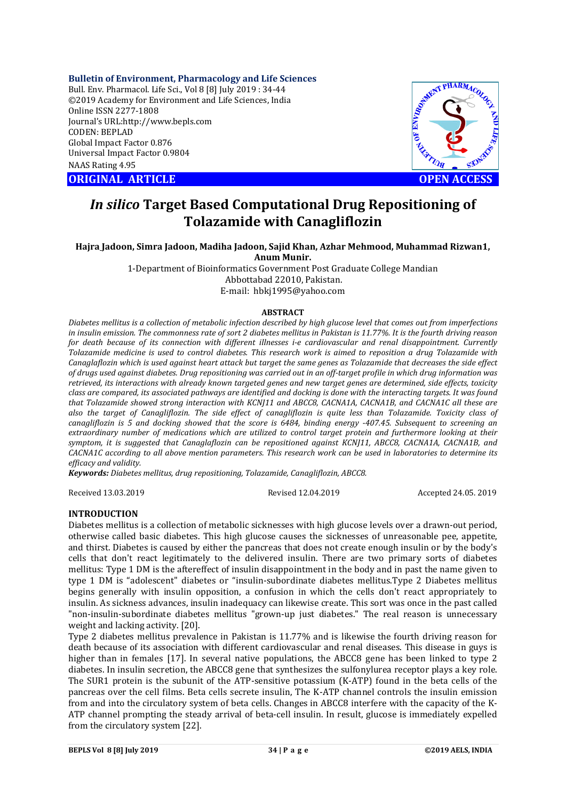**Bulletin of Environment, Pharmacology and Life Sciences**

Bull. Env. Pharmacol. Life Sci., Vol 8 [8] July 2019 : 34-44 ©2019 Academy for Environment and Life Sciences, India Online ISSN 2277-1808 Journal's URL:http://www.bepls.com CODEN: BEPLAD Global Impact Factor 0.876 Universal Impact Factor 0.9804 NAAS Rating 4.95

**CORIGINAL ARTICLE CONSUMING ARTICLE CONSUMING A REPORT OF A LIGHT AND ACCESS** 



# *In silico* **Target Based Computational Drug Repositioning of Tolazamide with Canagliflozin**

**Hajra Jadoon, Simra Jadoon, Madiha Jadoon, Sajid Khan, Azhar Mehmood, Muhammad Rizwan1, Anum Munir.**

> 1-Department of Bioinformatics Government Post Graduate College Mandian Abbottabad 22010, Pakistan. E-mail:hbkj1995@yahoo.com

## **ABSTRACT**

*Diabetes mellitus is a collection of metabolic infection described by high glucose level that comes out from imperfections in insulin emission. The commonness rate of sort 2 diabetes mellitus in Pakistan is 11.77%. It is the fourth driving reason for death because of its connection with different illnesses i-e cardiovascular and renal disappointment. Currently Tolazamide medicine is used to control diabetes. This research work is aimed to reposition a drug Tolazamide with Canaglaflozin which is used against heart attack but target the same genes as Tolazamide that decreases the side effect of drugs used against diabetes. Drug repositioning was carried out in an off-target profile in which drug information was retrieved, its interactions with already known targeted genes and new target genes are determined, side effects, toxicity class are compared, its associated pathways are identified and docking is done with the interacting targets. It was found that Tolazamide showed strong interaction with KCNJ11 and ABCC8, CACNA1A, CACNA1B, and CACNA1C all these are also the target of Canagliflozin. The side effect of canagliflozin is quite less than Tolazamide. Toxicity class of canagliflozin is 5 and docking showed that the score is 6484, binding energy -407.45. Subsequent to screening an extraordinary number of medications which are utilized to control target protein and furthermore looking at their symptom, it is suggested that Canaglaflozin can be repositioned against KCNJ11, ABCC8, CACNA1A, CACNA1B, and CACNA1C according to all above mention parameters. This research work can be used in laboratories to determine its efficacy and validity.*

*Keywords: Diabetes mellitus, drug repositioning, Tolazamide, Canagliflozin, ABCC8.*

Received 13.03.2019 Revised 12.04.2019 Accepted 24.05. 2019

## **INTRODUCTION**

Diabetes mellitus is a collection of metabolic sicknesses with high glucose levels over a drawn-out period, otherwise called basic diabetes. This high glucose causes the sicknesses of unreasonable pee, appetite, and thirst. Diabetes is caused by either the pancreas that does not create enough insulin or by the body's cells that don't react legitimately to the delivered insulin. There are two primary sorts of diabetes mellitus: Type 1 DM is the aftereffect of insulin disappointment in the body and in past the name given to type 1 DM is "adolescent" diabetes or "insulin-subordinate diabetes mellitus.Type 2 Diabetes mellitus begins generally with insulin opposition, a confusion in which the cells don't react appropriately to insulin. As sickness advances, insulin inadequacy can likewise create. This sort was once in the past called "non-insulin-subordinate diabetes mellitus "grown-up just diabetes." The real reason is unnecessary weight and lacking activity. [20].

Type 2 diabetes mellitus prevalence in Pakistan is 11.77% and is likewise the fourth driving reason for death because of its association with different cardiovascular and renal diseases. This disease in guys is higher than in females [17]. In several native populations, the ABCC8 gene has been linked to type 2 diabetes. In insulin secretion, the ABCC8 gene that synthesizes the sulfonylurea receptor plays a key role. The SUR1 protein is the subunit of the ATP-sensitive potassium (K-ATP) found in the beta cells of the pancreas over the cell films. Beta cells secrete insulin, The K-ATP channel controls the insulin emission from and into the circulatory system of beta cells. Changes in ABCC8 interfere with the capacity of the K-ATP channel prompting the steady arrival of beta-cell insulin. In result, glucose is immediately expelled from the circulatory system [22].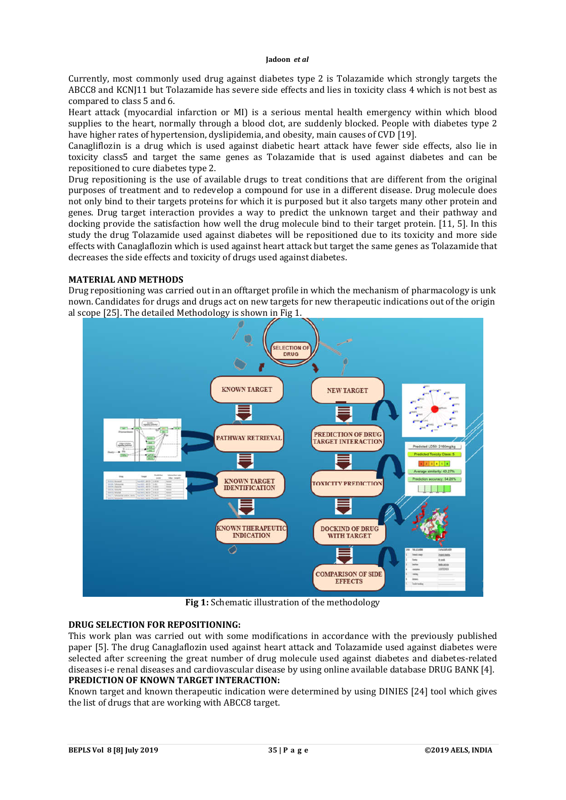Currently, most commonly used drug against diabetes type 2 is Tolazamide which strongly targets the ABCC8 and KCNJ11 but Tolazamide has severe side effects and lies in toxicity class 4 which is not best as compared to class 5 and 6.

Heart attack (myocardial infarction or MI) is a serious mental health emergency within which blood supplies to the heart, normally through a blood clot, are suddenly blocked. People with diabetes type 2 have higher rates of hypertension, dyslipidemia, and obesity, main causes of CVD [19].

Canagliflozin is a drug which is used against diabetic heart attack have fewer side effects, also lie in toxicity class5 and target the same genes as Tolazamide that is used against diabetes and can be repositioned to cure diabetes type 2.

Drug repositioning is the use of available drugs to treat conditions that are different from the original purposes of treatment and to redevelop a compound for use in a different disease. Drug molecule does not only bind to their targets proteins for which it is purposed but it also targets many other protein and genes. Drug target interaction provides a way to predict the unknown target and their pathway and docking provide the satisfaction how well the drug molecule bind to their target protein. [11, 5]. In this study the drug Tolazamide used against diabetes will be repositioned due to its toxicity and more side effects with Canaglaflozin which is used against heart attack but target the same genes as Tolazamide that decreases the side effects and toxicity of drugs used against diabetes.

## **MATERIAL AND METHODS**

Drug repositioning was carried out in an offtarget profile in which the mechanism of pharmacology is unk nown. Candidates for drugs and drugs act on new targets for new therapeutic indications out of the origin al scope [25]. The detailed Methodology is shown in Fig 1.



**Fig 1:** Schematic illustration of the methodology

# **DRUG SELECTION FOR REPOSITIONING:**

This work plan was carried out with some modifications in accordance with the previously published paper [5]. The drug Canaglaflozin used against heart attack and Tolazamide used against diabetes were selected after screening the great number of drug molecule used against diabetes and diabetes-related diseases i-e renal diseases and cardiovascular disease by using online available database DRUG BANK [4]. **PREDICTION OF KNOWN TARGET INTERACTION:**

Known target and known therapeutic indication were determined by using DINIES [24] tool which gives the list of drugs that are working with ABCC8 target.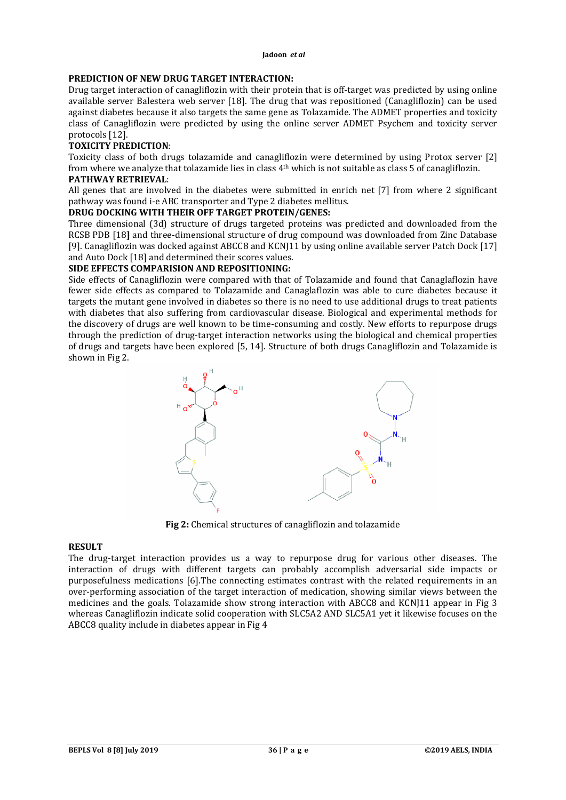# **PREDICTION OF NEW DRUG TARGET INTERACTION:**

Drug target interaction of canagliflozin with their protein that is off-target was predicted by using online available server Balestera web server [18]. The drug that was repositioned (Canagliflozin) can be used against diabetes because it also targets the same gene as Tolazamide. The ADMET properties and toxicity class of Canagliflozin were predicted by using the online server ADMET Psychem and toxicity server protocols [12].

## **TOXICITY PREDICTION**:

Toxicity class of both drugs tolazamide and canagliflozin were determined by using Protox server [2] from where we analyze that tolazamide lies in class 4th which is not suitable as class 5 of canagliflozin.

# **PATHWAY RETRIEVAL**:

All genes that are involved in the diabetes were submitted in enrich net [7] from where 2 significant pathway was found i-e ABC transporter and Type 2 diabetes mellitus.

# **DRUG DOCKING WITH THEIR OFF TARGET PROTEIN/GENES:**

Three dimensional (3d) structure of drugs targeted proteins was predicted and downloaded from the RCSB PDB [18**]** and three-dimensional structure of drug compound was downloaded from Zinc Database [9]. Canagliflozin was docked against ABCC8 and KCNJ11 by using online available server Patch Dock [17] and Auto Dock [18] and determined their scores values.

# **SIDE EFFECTS COMPARISION AND REPOSITIONING:**

Side effects of Canagliflozin were compared with that of Tolazamide and found that Canaglaflozin have fewer side effects as compared to Tolazamide and Canaglaflozin was able to cure diabetes because it targets the mutant gene involved in diabetes so there is no need to use additional drugs to treat patients with diabetes that also suffering from cardiovascular disease. Biological and experimental methods for the discovery of drugs are well known to be time-consuming and costly. New efforts to repurpose drugs through the prediction of drug-target interaction networks using the biological and chemical properties of drugs and targets have been explored [5, 14]. Structure of both drugs Canagliflozin and Tolazamide is shown in Fig 2.



**Fig 2:** Chemical structures of canagliflozin and tolazamide

## **RESULT**

The drug-target interaction provides us a way to repurpose drug for various other diseases. The interaction of drugs with different targets can probably accomplish adversarial side impacts or purposefulness medications [6].The connecting estimates contrast with the related requirements in an over-performing association of the target interaction of medication, showing similar views between the medicines and the goals. Tolazamide show strong interaction with ABCC8 and KCNJ11 appear in Fig 3 whereas Canagliflozin indicate solid cooperation with SLC5A2 AND SLC5A1 yet it likewise focuses on the ABCC8 quality include in diabetes appear in Fig 4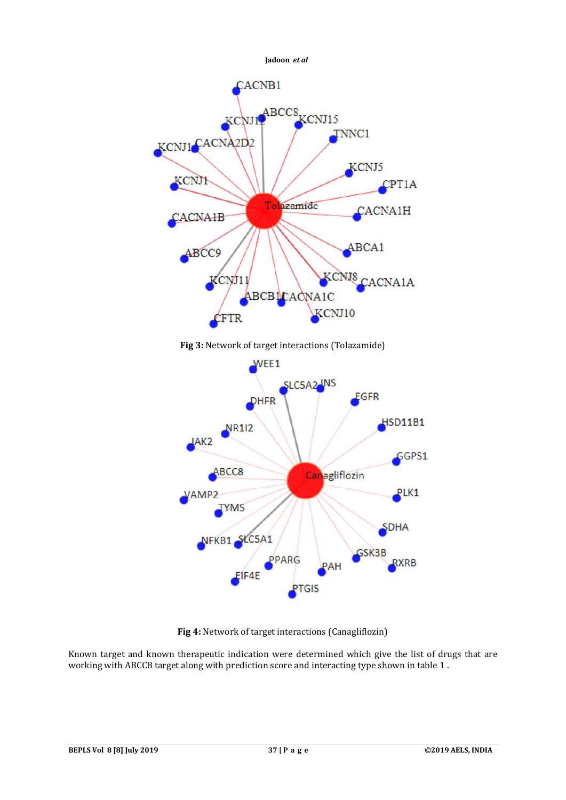



Known target and known therapeutic indication were determined which give the list of drugs that are working with ABCC8 target along with prediction score and interacting type shown in table 1 .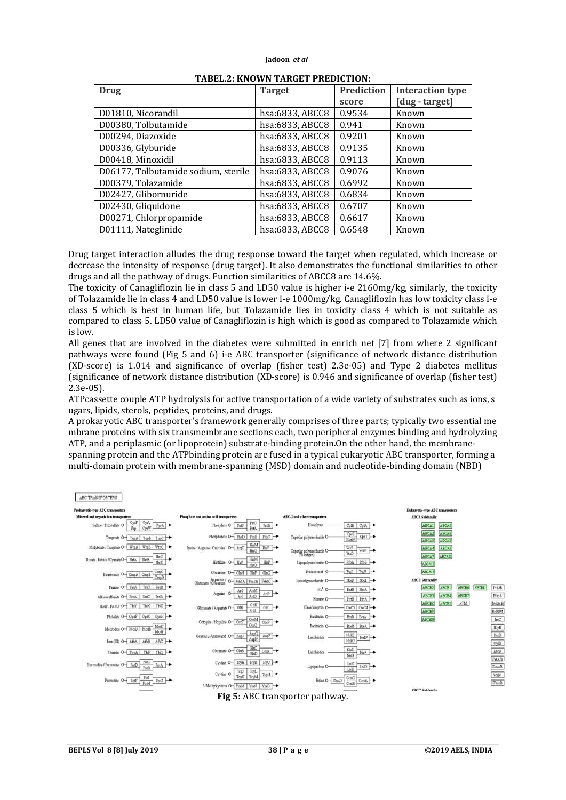| <b>Drug</b>                         | <b>Target</b>   | Prediction<br><b>Interaction type</b> |                |
|-------------------------------------|-----------------|---------------------------------------|----------------|
|                                     |                 | score                                 | [dug - target] |
| D01810, Nicorandil                  | hsa:6833, ABCC8 | 0.9534                                | Known          |
| D00380, Tolbutamide                 | hsa:6833, ABCC8 | 0.941                                 | Known          |
| D00294, Diazoxide                   | hsa:6833, ABCC8 | 0.9201                                | Known          |
| D00336, Glyburide                   | hsa:6833, ABCC8 | 0.9135                                | Known          |
| D00418, Minoxidil                   | hsa:6833, ABCC8 | 0.9113                                | Known          |
| D06177, Tolbutamide sodium, sterile | hsa:6833, ABCC8 | 0.9076                                | Known          |
| D00379, Tolazamide                  | hsa:6833, ABCC8 | 0.6992                                | Known          |
| D02427, Glibornuride                | hsa:6833, ABCC8 | 0.6834                                | Known          |
| D02430, Gliquidone                  | hsa:6833, ABCC8 | 0.6707                                | Known          |
| D00271, Chlorpropamide              | hsa:6833, ABCC8 | 0.6617                                | Known          |
| D01111, Nateglinide                 | hsa:6833, ABCC8 | 0.6548                                | Known          |

#### **TABEL.2: KNOWN TARGET PREDICTION:**

Drug target interaction alludes the drug response toward the target when regulated, which increase or decrease the intensity of response (drug target). It also demonstrates the functional similarities to other drugs and all the pathway of drugs. Function similarities of ABCC8 are 14.6%.

The toxicity of Canagliflozin lie in class 5 and LD50 value is higher i-e 2160mg/kg, similarly, the toxicity of Tolazamide lie in class 4 and LD50 value is lower i-e 1000mg/kg. Canagliflozin has low toxicity class i-e class 5 which is best in human life, but Tolazamide lies in toxicity class 4 which is not suitable as compared to class 5. LD50 value of Canagliflozin is high which is good as compared to Tolazamide which is low.

All genes that are involved in the diabetes were submitted in enrich net [7] from where 2 significant pathways were found (Fig 5 and 6) i-e ABC transporter (significance of network distance distribution (XD-score) is 1.014 and significance of overlap (fisher test) 2.3e-05) and Type 2 diabetes mellitus (significance of network distance distribution (XD-score) is 0.946 and significance of overlap (fisher test) 2.3e-05).

ATPcassette couple ATP hydrolysis for active transportation of a wide variety of substrates such as ions, s ugars, lipids, sterols, peptides, proteins, and drugs.

A prokaryotic ABC transporter's framework generally comprises of three parts; typically two essential me mbrane proteins with six transmembrane sections each, two peripheral enzymes binding and hydrolyzing ATP, and a periplasmic (or lipoprotein) substrate-binding protein.On the other hand, the membranespanning protein and the ATPbinding protein are fused in a typical eukaryotic ABC transporter, forming a multi-domain protein with membrane-spanning (MSD) domain and nucleotide-binding domain (NBD)

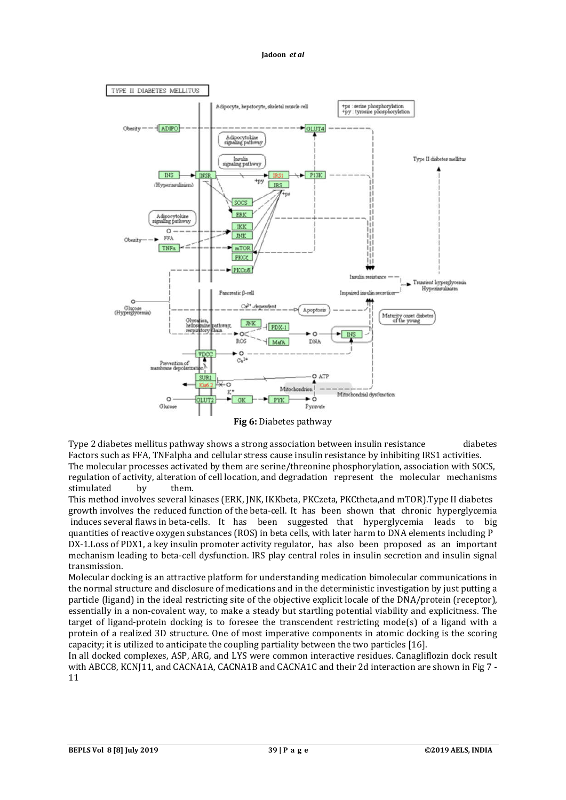

Type 2 diabetes mellitus pathway shows a strong association between insulin resistance diabetes Factors such as FFA, TNFalpha and cellular stress cause insulin resistance by inhibiting IRS1 activities. The molecular processes activated by them are serine/threonine phosphorylation, association with SOCS, regulation of activity, alteration of cell location, and degradation represent the molecular mechanisms stimulated by them.

This method involves several kinases (ERK, JNK, IKKbeta, PKCzeta, PKCtheta,and mTOR).Type II diabetes growth involves the reduced function of the beta-cell. It has been shown that chronic hyperglycemia induces several flaws in beta-cells. It has been suggested that hyperglycemia leads to big quantities of reactive oxygen substances (ROS) in beta cells, with later harm to DNA elements including P DX-1.Loss of PDX1, a key insulin promoter activity regulator, has also been proposed as an important mechanism leading to beta-cell dysfunction. IRS play central roles in insulin secretion and insulin signal transmission.

Molecular docking is an attractive platform for understanding medication bimolecular communications in the normal structure and disclosure of medications and in the deterministic investigation by just putting a particle (ligand) in the ideal restricting site of the objective explicit locale of the DNA/protein (receptor), essentially in a non-covalent way, to make a steady but startling potential viability and explicitness. The target of ligand-protein docking is to foresee the transcendent restricting mode(s) of a ligand with a protein of a realized 3D structure. One of most imperative components in atomic docking is the scoring capacity; it is utilized to anticipate the coupling partiality between the two particles [16].

In all docked complexes, ASP, ARG, and LYS were common interactive residues. Canagliflozin dock result with ABCC8, KCNJ11, and CACNA1A, CACNA1B and CACNA1C and their 2d interaction are shown in Fig 7 - 11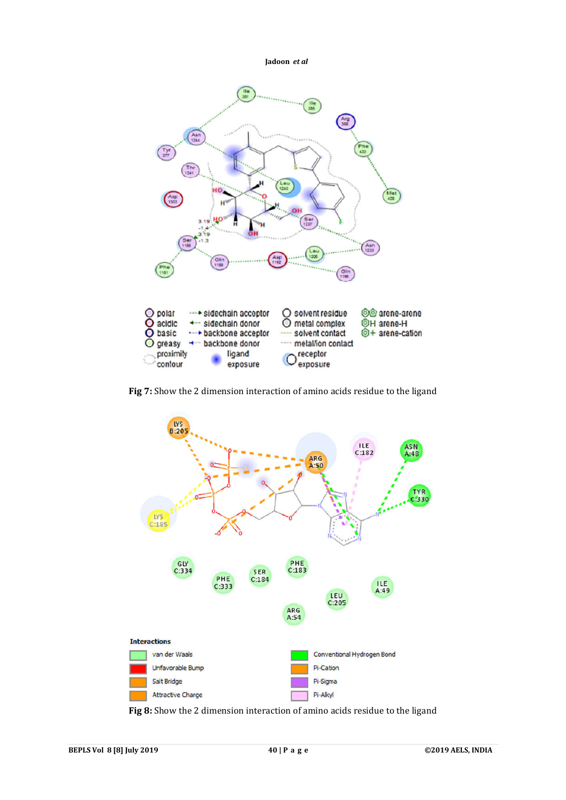

**Fig 7:** Show the 2 dimension interaction of amino acids residue to the ligand



**Fig 8:** Show the 2 dimension interaction of amino acids residue to the ligand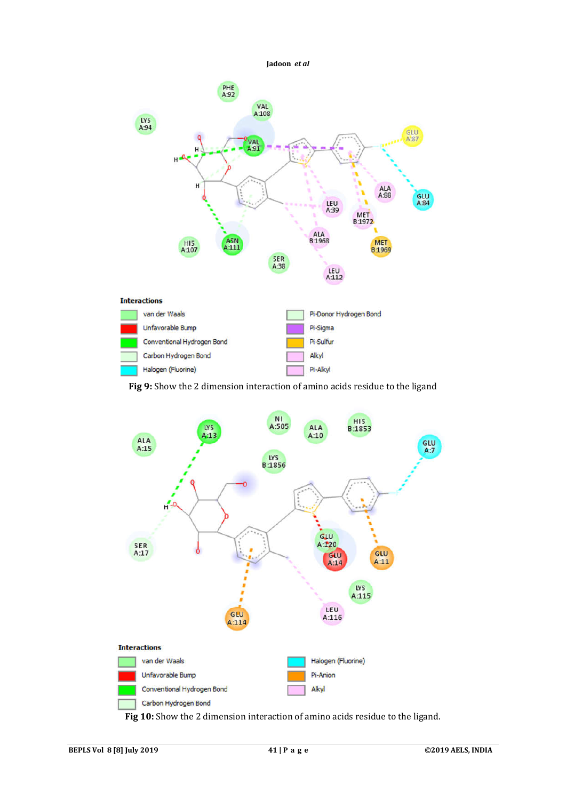**Jadoon** *et al*PHE<br>A92 VAL<br>A108 LY5<br>A94 GLU<br>A:87 A:91 н **ALA**<br>A.88 GLU<br>A:84 LEU<br>A:39 MET<br>81972 ALA<br>B1968  $\frac{\mathsf{ASN}}{\mathsf{A}111}$ HI5<br>A107 **MET B1969** SER<br>A:38 LEU<br>A112 **Interactions** van der Waals Pi-Donor Hydrogen Bond



**Fig 9:** Show the 2 dimension interaction of amino acids residue to the ligand



**Fig 10:** Show the 2 dimension interaction of amino acids residue to the ligand.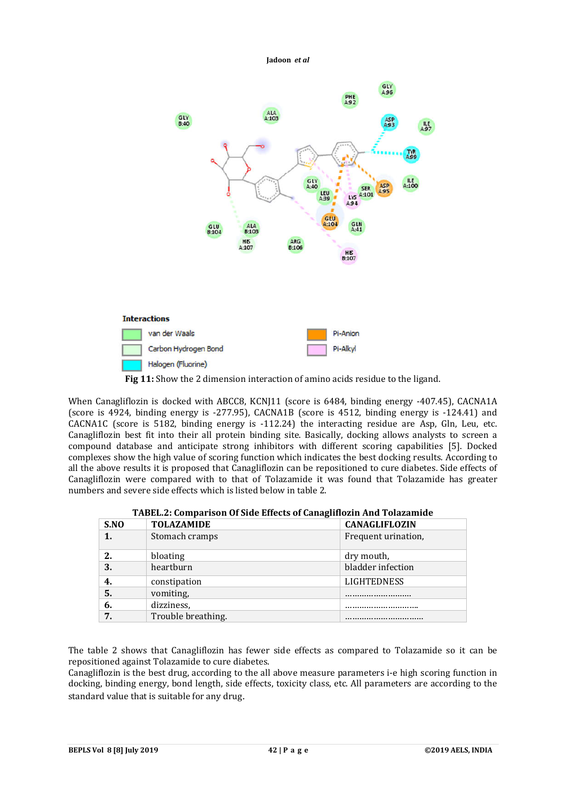

**Fig 11:** Show the 2 dimension interaction of amino acids residue to the ligand.

When Canagliflozin is docked with ABCC8, KCNJ11 (score is 6484, binding energy -407.45), CACNA1A (score is 4924, binding energy is -277.95), CACNA1B (score is 4512, binding energy is -124.41) and CACNA1C (score is 5182, binding energy is -112.24) the interacting residue are Asp, Gln, Leu, etc. Canagliflozin best fit into their all protein binding site. Basically, docking allows analysts to screen a compound database and anticipate strong inhibitors with different scoring capabilities [5]. Docked complexes show the high value of scoring function which indicates the best docking results. According to all the above results it is proposed that Canagliflozin can be repositioned to cure diabetes. Side effects of Canagliflozin were compared with to that of Tolazamide it was found that Tolazamide has greater numbers and severe side effects which is listed below in table 2.

| TADELLE, COMparison Of Side Effects of Canaghilozin And Tolazannue |                    |                      |  |  |
|--------------------------------------------------------------------|--------------------|----------------------|--|--|
| S.NO                                                               | <b>TOLAZAMIDE</b>  | <b>CANAGLIFLOZIN</b> |  |  |
| 1.                                                                 | Stomach cramps     | Frequent urination,  |  |  |
| 2.                                                                 | bloating           | dry mouth,           |  |  |
| 3.                                                                 | heartburn          | bladder infection    |  |  |
| 4.                                                                 | constipation       | <b>LIGHTEDNESS</b>   |  |  |
| 5.                                                                 | vomiting,          |                      |  |  |
| 6.                                                                 | dizziness,         |                      |  |  |
| 7.                                                                 | Trouble breathing. |                      |  |  |

| TABEL.2: Comparison Of Side Effects of Canagliflozin And Tolazamide |  |  |
|---------------------------------------------------------------------|--|--|
|                                                                     |  |  |

The table 2 shows that Canagliflozin has fewer side effects as compared to Tolazamide so it can be repositioned against Tolazamide to cure diabetes.

Canagliflozin is the best drug, according to the all above measure parameters i-e high scoring function in docking, binding energy, bond length, side effects, toxicity class, etc. All parameters are according to the standard value that is suitable for any drug.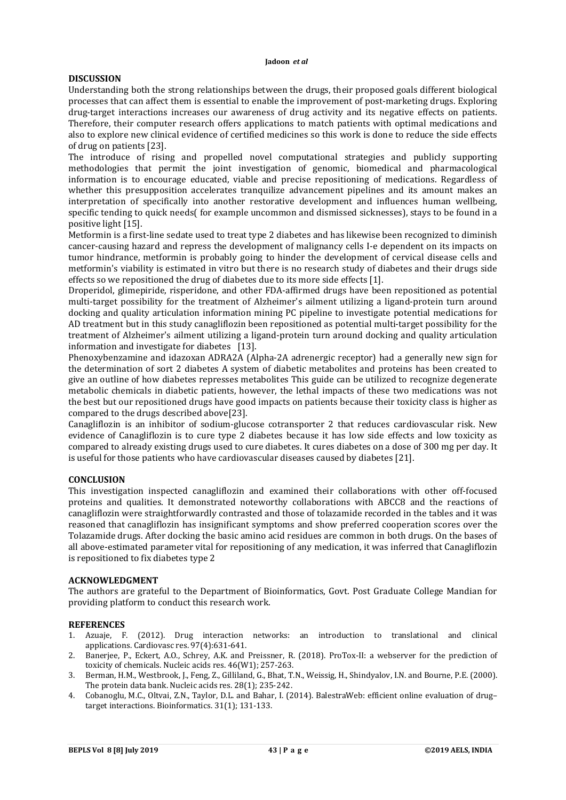# **DISCUSSION**

Understanding both the strong relationships between the drugs, their proposed goals different biological processes that can affect them is essential to enable the improvement of post-marketing drugs. Exploring drug-target interactions increases our awareness of drug activity and its negative effects on patients. Therefore, their computer research offers applications to match patients with optimal medications and also to explore new clinical evidence of certified medicines so this work is done to reduce the side effects of drug on patients [23].

The introduce of rising and propelled novel computational strategies and publicly supporting methodologies that permit the joint investigation of genomic, biomedical and pharmacological information is to encourage educated, viable and precise repositioning of medications. Regardless of whether this presupposition accelerates tranquilize advancement pipelines and its amount makes an interpretation of specifically into another restorative development and influences human wellbeing, specific tending to quick needs( for example uncommon and dismissed sicknesses), stays to be found in a positive light [15].

Metformin is a first-line sedate used to treat type 2 diabetes and has likewise been recognized to diminish cancer-causing hazard and repress the development of malignancy cells I-e dependent on its impacts on tumor hindrance, metformin is probably going to hinder the development of cervical disease cells and metformin's viability is estimated in vitro but there is no research study of diabetes and their drugs side effects so we repositioned the drug of diabetes due to its more side effects [1].

Droperidol, glimepiride, risperidone, and other FDA-affirmed drugs have been repositioned as potential multi-target possibility for the treatment of Alzheimer's ailment utilizing a ligand-protein turn around docking and quality articulation information mining PC pipeline to investigate potential medications for AD treatment but in this study canagliflozin been repositioned as potential multi-target possibility for the treatment of Alzheimer's ailment utilizing a ligand-protein turn around docking and quality articulation information and investigate for diabetes [13].

Phenoxybenzamine and idazoxan ADRA2A (Alpha-2A adrenergic receptor) had a generally new sign for the determination of sort 2 diabetes A system of diabetic metabolites and proteins has been created to give an outline of how diabetes represses metabolites This guide can be utilized to recognize degenerate metabolic chemicals in diabetic patients, however, the lethal impacts of these two medications was not the best but our repositioned drugs have good impacts on patients because their toxicity class is higher as compared to the drugs described above[23].

Canagliflozin is an inhibitor of sodium-glucose cotransporter 2 that reduces cardiovascular risk. New evidence of Canagliflozin is to cure type 2 diabetes because it has low side effects and low toxicity as compared to already existing drugs used to cure diabetes. It cures diabetes on a dose of 300 mg per day. It is useful for those patients who have cardiovascular diseases caused by diabetes [21].

# **CONCLUSION**

This investigation inspected canagliflozin and examined their collaborations with other off-focused proteins and qualities. It demonstrated noteworthy collaborations with ABCC8 and the reactions of canagliflozin were straightforwardly contrasted and those of tolazamide recorded in the tables and it was reasoned that canagliflozin has insignificant symptoms and show preferred cooperation scores over the Tolazamide drugs. After docking the basic amino acid residues are common in both drugs. On the bases of all above-estimated parameter vital for repositioning of any medication, it was inferred that Canagliflozin is repositioned to fix diabetes type 2

## **ACKNOWLEDGMENT**

The authors are grateful to the Department of Bioinformatics, Govt. Post Graduate College Mandian for providing platform to conduct this research work.

## **REFERENCES**

- 1. Azuaje, F. (2012). Drug interaction networks: an introduction to translational and clinical applications. Cardiovasc res. 97(4):631-641.
- 2. Banerjee, P., Eckert, A.O., Schrey, A.K. and Preissner, R. (2018). ProTox-II: a webserver for the prediction of toxicity of chemicals. Nucleic acids res. 46(W1); 257-263.
- 3. Berman, H.M., Westbrook, J., Feng, Z., Gilliland, G., Bhat, T.N., Weissig, H., Shindyalov, I.N. and Bourne, P.E. (2000). The protein data bank. Nucleic acids res. 28(1); 235-242.
- 4. Cobanoglu, M.C., Oltvai, Z.N., Taylor, D.L. and Bahar, I. (2014). BalestraWeb: efficient online evaluation of drug– target interactions. Bioinformatics. 31(1); 131-133.